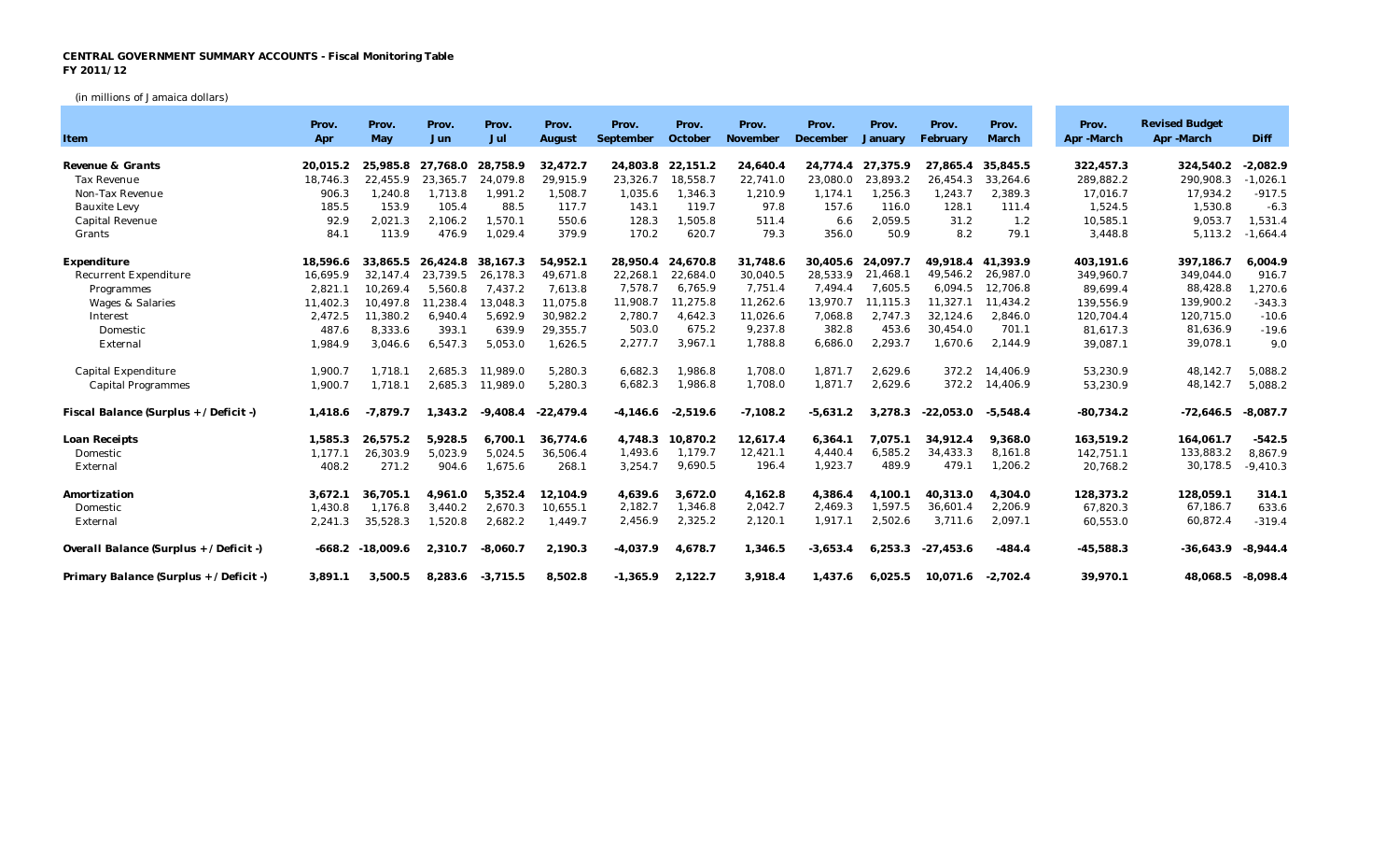## **CENTRAL GOVERNMENT SUMMARY ACCOUNTS - Fiscal Monitoring Table FY 2011/12**

(in millions of Jamaica dollars)

| Item                                    | Prov.<br>Apr | Prov.<br>May | Prov.<br>Jun      | Prov.<br>Jul | Prov.<br>August | Prov.<br>September | Prov.<br>October | Prov.<br>November | Prov.<br>December | Prov.<br>January | Prov.<br>February | Prov.<br>March | Prov.<br>Apr -March | <b>Revised Budget</b><br>Apr -March | Diff       |
|-----------------------------------------|--------------|--------------|-------------------|--------------|-----------------|--------------------|------------------|-------------------|-------------------|------------------|-------------------|----------------|---------------------|-------------------------------------|------------|
|                                         |              |              |                   |              |                 |                    |                  |                   |                   |                  |                   |                |                     |                                     |            |
| Revenue & Grants                        | 20.015.2     |              | 25.985.8 27.768.0 | 28,758.9     | 32.472.7        | 24.803.8           | 22.151.2         | 24.640.4          | 24.774.4          | 27.375.9         | 27.865.4          | 35.845.5       | 322.457.3           | 324,540.2                           | $-2,082.9$ |
| <b>Tax Revenue</b>                      | 18.746.3     | 22.455.9     | 23.365.7          | 24,079.8     | 29,915.9        | 23,326.7           | 18,558.7         | 22,741.0          | 23,080.0          | 23,893.2         | 26.454.3          | 33,264.6       | 289,882.2           | 290,908.3                           | $-1,026.1$ |
| Non-Tax Revenue                         | 906.3        | 1,240.8      | 1,713.8           | 1,991.2      | 1,508.7         | 1,035.6            | 1.346.3          | 1,210.9           | 1.174.1           | 1.256.3          | 1,243.7           | 2,389.3        | 17,016.7            | 17,934.2                            | $-917.5$   |
| <b>Bauxite Levy</b>                     | 185.5        | 153.9        | 105.4             | 88.5         | 117.7           | 143.1              | 119.7            | 97.8              | 157.6             | 116.0            | 128.1             | 111.4          | 1,524.5             | 1,530.8                             | $-6.3$     |
| Capital Revenue                         | 92.9         | 2,021.3      | 2,106.2           | 1,570.1      | 550.6           | 128.3              | 1,505.8          | 511.4             | 6.6               | 2,059.5          | 31.2              | 1.2            | 10,585.1            | 9,053.7                             | 1,531.4    |
| Grants                                  | 84.1         | 113.9        | 476.9             | 1,029.4      | 379.9           | 170.2              | 620.7            | 79.3              | 356.0             | 50.9             | 8.2               | 79.1           | 3,448.8             | 5,113.2                             | $-1,664.4$ |
| Expenditure                             | 18,596.6     | 33.865.5     | 26.424.8          | 38.167.3     | 54,952.1        | 28.950.4           | 24,670.8         | 31,748.6          | 30.405.6          | 24.097.7         | 49.918.4          | 41.393.9       | 403,191.6           | 397,186.7                           | 6,004.9    |
| <b>Recurrent Expenditure</b>            | 16,695.9     | 32,147.4     | 23,739.5          | 26,178.3     | 49,671.8        | 22,268.1           | 22,684.0         | 30,040.5          | 28,533.9          | 21,468.1         | 49,546.2          | 26,987.0       | 349,960.7           | 349,044.0                           | 916.7      |
| Programmes                              | 2,821.1      | 10,269.4     | 5,560.8           | 7,437.2      | 7,613.8         | 7,578.7            | 6,765.9          | 7,751.4           | 7,494.4           | 7,605.5          | 6,094.5           | 12,706.8       | 89,699.4            | 88,428.8                            | 1,270.6    |
| Wages & Salaries                        | 11,402.3     | 10,497.8     | 11,238.4          | 13,048.3     | 11,075.8        | 11,908.7           | 11,275.8         | 11,262.6          | 13,970.7          | 11,115.3         | 11,327.1          | 11,434.2       | 139,556.9           | 139,900.2                           | $-343.3$   |
| Interest                                | 2,472.5      | 11,380.2     | 6,940.4           | 5,692.9      | 30,982.2        | 2,780.7            | 4,642.3          | 11,026.6          | 7,068.8           | 2.747.3          | 32,124.6          | 2,846.0        | 120,704.4           | 120,715.0                           | $-10.6$    |
| Domestic                                | 487.6        | 8,333.6      | 393.1             | 639.9        | 29,355.7        | 503.0              | 675.2            | 9,237.8           | 382.8             | 453.6            | 30,454.0          | 701.1          | 81,617.3            | 81,636.9                            | $-19.6$    |
| External                                | 1,984.9      | 3,046.6      | 6,547.3           | 5,053.0      | 1,626.5         | 2,277.7            | 3,967.1          | 1,788.8           | 6,686.0           | 2,293.7          | 1,670.6           | 2,144.9        | 39,087.1            | 39,078.1                            | 9.0        |
| Capital Expenditure                     | 1,900.7      | 1,718.1      | 2,685.3           | 11,989.0     | 5,280.3         | 6,682.3            | 1,986.8          | 1,708.0           | 1,871.7           | 2,629.6          | 372.2             | 14,406.9       | 53,230.9            | 48,142.7                            | 5,088.2    |
| <b>Capital Programmes</b>               | 1,900.7      | 1,718.1      | 2,685.3           | 11,989.0     | 5,280.3         | 6,682.3            | 1,986.8          | 1,708.0           | 1,871.7           | 2,629.6          | 372.2             | 14,406.9       | 53,230.9            | 48,142.7                            | 5,088.2    |
| Fiscal Balance (Surplus + / Deficit -)  | 1,418.6      | $-7,879.7$   | 1,343.2           | $-9.408.4$   | $-22,479.4$     | $-4,146.6$         | $-2,519.6$       | $-7,108.2$        | $-5,631.2$        | 3,278.3          | $-22.053.0$       | $-5,548.4$     | $-80,734.2$         | $-72,646.5$                         | $-8,087.7$ |
| Loan Receipts                           | 1,585.3      | 26,575.2     | 5,928.5           | 6,700.1      | 36.774.6        | 4,748.3            | 10.870.2         | 12,617.4          | 6,364.1           | 7.075.1          | 34,912.4          | 9,368.0        | 163,519.2           | 164,061.7                           | $-542.5$   |
| Domestic                                | 1,177.1      | 26,303.9     | 5,023.9           | 5,024.5      | 36,506.4        | 1,493.6            | 1,179.7          | 12,421.1          | 4,440.4           | 6,585.2          | 34,433.3          | 8,161.8        | 142,751.1           | 133,883.2                           | 8,867.9    |
| External                                | 408.2        | 271.2        | 904.6             | 1,675.6      | 268.1           | 3,254.7            | 9,690.5          | 196.4             | 1,923.7           | 489.9            | 479.1             | 1,206.2        | 20,768.2            | 30,178.5                            | $-9,410.3$ |
| Amortization                            | 3,672.1      | 36,705.1     | 4,961.0           | 5,352.4      | 12,104.9        | 4,639.6            | 3,672.0          | 4,162.8           | 4,386.4           | 4.100.1          | 40,313.0          | 4,304.0        | 128,373.2           | 128,059.1                           | 314.1      |
| Domestic                                | 1,430.8      | 1,176.8      | 3,440.2           | 2,670.3      | 10,655.1        | 2,182.7            | 1,346.8          | 2,042.7           | 2,469.3           | 1,597.5          | 36,601.4          | 2,206.9        | 67,820.3            | 67,186.7                            | 633.6      |
| External                                | 2,241.3      | 35,528.3     | 1,520.8           | 2,682.2      | 1,449.7         | 2,456.9            | 2,325.2          | 2,120.1           | 1,917.1           | 2,502.6          | 3,711.6           | 2,097.1        | 60,553.0            | 60,872.4                            | $-319.4$   |
| Overall Balance (Surplus + / Deficit -) | $-668.2$     | $-18,009.6$  | 2,310.7           | $-8,060.7$   | 2,190.3         | $-4,037.9$         | 4,678.7          | 1,346.5           | $-3,653.4$        | 6,253.3          | $-27,453.6$       | $-484.4$       | $-45,588.3$         | $-36,643.9$                         | $-8,944.4$ |
| Primary Balance (Surplus + / Deficit -) | 3,891.1      | 3,500.5      | 8,283.6           | $-3,715.5$   | 8,502.8         | $-1,365.9$         | 2,122.7          | 3,918.4           | 1,437.6           | 6,025.5          | 10.071.6          | $-2,702.4$     | 39,970.1            | 48,068.5 -8,098.4                   |            |